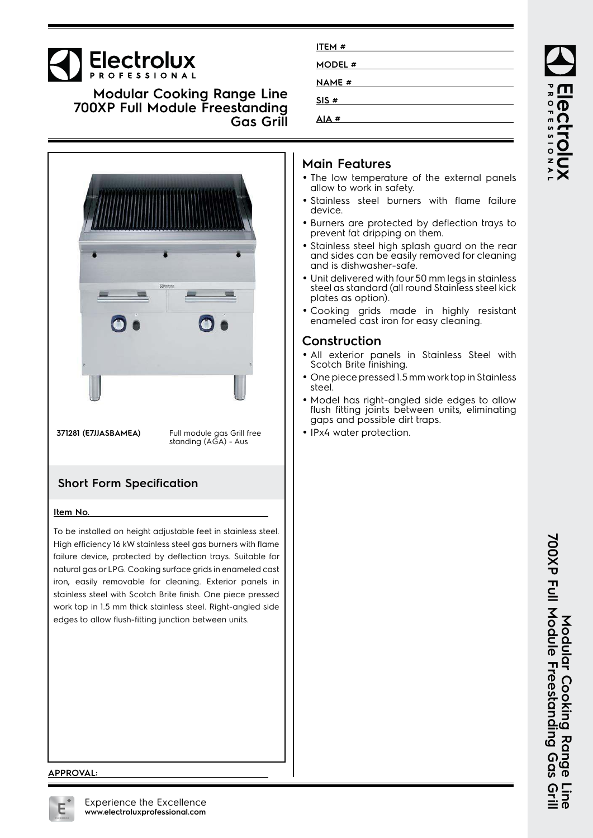# Electrolux

**Modular Cooking Range Line 700XP Full Module Freestanding Gas Grill**



**371281 (E7JJASBAMEA)** Full module gas Grill free<br>standing (AGA) - Aus

## **Short Form Specification**

#### **Item No.**

To be installed on height adjustable feet in stainless steel. High efficiency 16 kW stainless steel gas burners with flame failure device, protected by deflection trays. Suitable for natural gas or LPG. Cooking surface grids in enameled cast iron, easily removable for cleaning. Exterior panels in stainless steel with Scotch Brite finish. One piece pressed work top in 1.5 mm thick stainless steel. Right-angled side edges to allow flush-fitting junction between units.

| ITEM #        |  |
|---------------|--|
| MODEL #       |  |
| <b>NAME #</b> |  |
| SIS#          |  |
| AIA #         |  |

## **Main Features**

- The low temperature of the external panels allow to work in safety.
- Stainless steel burners with flame failure device.
- Burners are protected by deflection trays to prevent fat dripping on them.
- Stainless steel high splash guard on the rear and sides can be easily removed for cleaning and is dishwasher-safe.
- • Unit delivered with four 50 mm legs in stainless steel as standard (all round Stainless steel kick plates as option).
- Cooking grids made in highly resistant enameled cast iron for easy cleaning.

## **Construction**

- All exterior panels in Stainless Steel with Scotch Brite finishing.
- One piece pressed 1.5 mm work top in Stainless steel.
- Model has right-angled side edges to allow flush fitting joints between units, eliminating gaps and possible dirt traps.
- IPx4 water protection.

#### **APPROVAL:**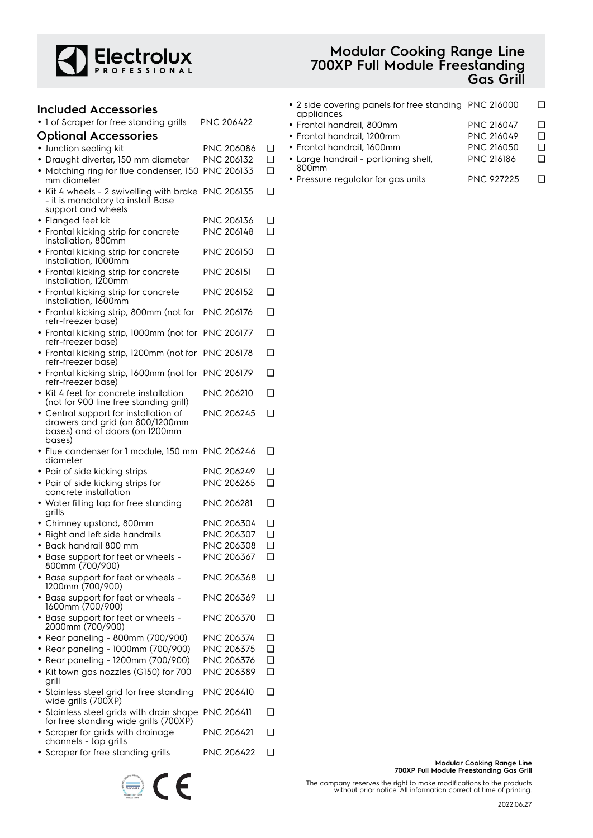

| Included Accessories                                                                                           |                   |   |
|----------------------------------------------------------------------------------------------------------------|-------------------|---|
| · 1 of Scraper for free standing grills                                                                        | PNC 206422        |   |
| <b>Optional Accessories</b>                                                                                    |                   |   |
| • Junction sealing kit                                                                                         | PNC 206086        | ❏ |
| • Draught diverter, 150 mm diameter                                                                            | PNC 206132        | ∩ |
| • Matching ring for flue condenser, 150<br>mm diameter                                                         | PNC 206133        | ∩ |
| • Kit 4 wheels - 2 swivelling with brake PNC 206135<br>- it is mandatory to install Base<br>support and wheels |                   | ❏ |
| • Flanged feet kit                                                                                             | PNC 206136        | ❏ |
| • Frontal kicking strip for concrete<br>installation, 800mm                                                    | PNC 206148        | ∩ |
| • Frontal kicking strip for concrete<br>installation, 1000mm                                                   | <b>PNC 206150</b> | ∩ |
| • Frontal kicking strip for concrete<br>installation, 1200mm                                                   | <b>PNC 206151</b> | ∩ |
| • Frontal kicking strip for concrete<br>installation, 1600mm                                                   | PNC 206152        | ◻ |
| • Frontal kicking strip, 800mm (not for<br>refr-freezer base)                                                  | <b>PNC 206176</b> | ∩ |
| • Frontal kicking strip, 1000mm (not for PNC 206177<br>refr-freezer base)                                      |                   | ❏ |
| · Frontal kicking strip, 1200mm (not for PNC 206178<br>refr-freezer base)                                      |                   | ∩ |
| • Frontal kicking strip, 1600mm (not for PNC 206179<br>refr-freezer base)                                      |                   | ❏ |
| $\bullet\,$ Kit 4 feet for concrete installation<br>(not for 900 line free standing grill)                     | <b>PNC 206210</b> | ∩ |
| • Central support for installation of<br>drawers and grid (on 800/1200mm<br>bases) and of doors (on 1200mm     | PNC 206245        | ∩ |
| bases)<br>• Flue condenser for 1 module, 150 mm PNC 206246                                                     |                   | ❏ |
| diameter<br>• Pair of side kicking strips                                                                      | PNC 206249        | ❏ |
| • Pair of side kicking strips for                                                                              | PNC 206265        | ∩ |
| concrete installation                                                                                          |                   |   |
| • Water filling tap for free standing<br>grills                                                                | PNC 206281        | ∩ |
| • Chimney upstand, 800mm                                                                                       | PNC 206304        | ∩ |
| • Right and left side handrails                                                                                | PNC 206307        | ❏ |
| - Back handrail 800 mm<br>٠                                                                                    | PNC 206308        | ⊔ |
| • Base support for feet or wheels -<br>800mm (700/900)                                                         | PNC 206367        | ∩ |
| • Base support for feet or wheels -<br>1200mm (700/900)                                                        | PNC 206368        | ◻ |
| • Base support for feet or wheels -<br>1600mm (700/900)                                                        | PNC 206369        | ❏ |
| • Base support for feet or wheels -<br>2000mm (700/900)                                                        | PNC 206370        | ◻ |
| • Rear paneling - 800mm (700/900)                                                                              | PNC 206374        | ❏ |
| • Rear paneling - 1000mm (700/900)                                                                             | PNC 206375        | ◻ |
| • Rear paneling - 1200mm (700/900)                                                                             | PNC 206376        | ◻ |
| • Kit town gas nozzles (G150) for 700<br>grill                                                                 | PNC 206389        | ◻ |
| • Stainless steel grid for free standing<br>wide grills (700XP)                                                | <b>PNC 206410</b> | ∩ |
| • Stainless steel grids with drain shape<br>for free standing wide grills (700XP)                              | <b>PNC 206411</b> | ∩ |
| • Scraper for grids with drainage<br>channels - top grills                                                     | PNC 206421        | ∩ |
| • Scraper for free standing grills                                                                             | PNC 206422        | ❏ |

 $\epsilon$ 

 $\left(\frac{1}{\text{Div} \cdot \text{GL}}\right)$ 

## **Modular Cooking Range Line 700XP Full Module Freestanding Gas Grill**

| • 2 side covering panels for free standing PNC 216000<br>appliances |                   |   |
|---------------------------------------------------------------------|-------------------|---|
| • Frontal handrail, 800mm                                           | <b>PNC 216047</b> | □ |
| • Frontal handrail, 1200mm                                          | <b>PNC 216049</b> |   |
| • Frontal handrail, 1600mm                                          | <b>PNC 216050</b> |   |
| • Large handrail - portioning shelf,<br>800 <sub>mm</sub>           | <b>PNC 216186</b> |   |

• Pressure regulator for gas units PNC 927225 ❑

**Modular Cooking Range Line 700XP Full Module Freestanding Gas Grill**

The company reserves the right to make modifications to the products without prior notice. All information correct at time of printing.